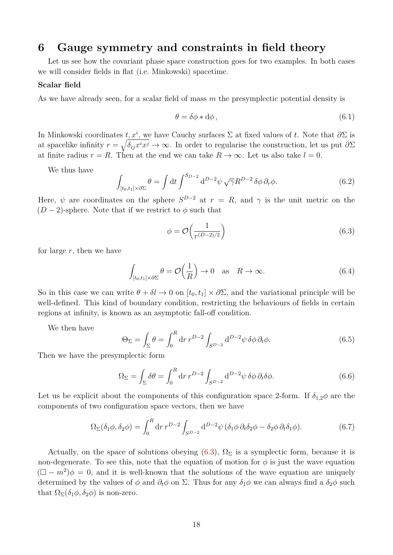# **6 Gauge symmetry and constraints in field theory**

Let us see how the covariant phase space construction goes for two examples. In both cases we will consider fields in flat (i.e. Minkowski) spacetime.

#### **Scalar field**

As we have already seen, for a scalar field of mass *m* the presymplectic potential density is

$$
\theta = \delta \phi * d\phi, \qquad (6.1)
$$

In Minkowski coordinates  $t, x^i$ , we have Cauchy surfaces  $\Sigma$  at fixed values of  $t$ . Note that  $\partial \Sigma$  is at spacelike infinity  $r = \sqrt{\delta_{ij} x^i x^j} \to \infty$ . In order to regularise the construction, let us put  $\partial \Sigma$ at finite radius  $r = R$ . Then at the end we can take  $R \to \infty$ . Let us also take  $l = 0$ .

We thus have

$$
\int_{[t_0, t_1] \times \partial \Sigma} \theta = \int dt \int^{S_{D-2}} d^{D-2} \psi \sqrt{\gamma} R^{D-2} \delta \phi \, \partial_r \phi. \tag{6.2}
$$

Here,  $\psi$  are coordinates on the sphere  $S^{D-2}$  at  $r = R$ , and  $\gamma$  is the unit metric on the  $(D-2)$ -sphere. Note that if we restrict to  $\phi$  such that

<span id="page-0-0"></span>
$$
\phi = \mathcal{O}\left(\frac{1}{r^{(D-2)/2}}\right) \tag{6.3}
$$

for large *r*, then we have

$$
\int_{[t_0, t_1] \times \partial \Sigma} \theta = \mathcal{O}\left(\frac{1}{R}\right) \to 0 \quad \text{as} \quad R \to \infty. \tag{6.4}
$$

So in this case we can write  $\theta + \delta l \to 0$  on  $[t_0, t_1] \times \partial \Sigma$ , and the variational principle will be well-defined. This kind of boundary condition, restricting the behaviours of fields in certain regions at infinity, is known as an asymptotic fall-off condition.

We then have

$$
\Theta_{\Sigma} = \int_{\Sigma} \theta = \int_0^R dr \, r^{D-2} \int_{S^{D-2}} d^{D-2} \psi \, \delta \phi \, \partial_t \phi. \tag{6.5}
$$

Then we have the presymplectic form

$$
\Omega_{\Sigma} = \int_{\Sigma} \delta \theta = \int_0^R dr \, r^{D-2} \int_{S^{D-2}} d^{D-2} \psi \, \delta \phi \, \partial_t \delta \phi. \tag{6.6}
$$

Let us be explicit about the components of this configuration space 2-form. If  $\delta_{1,2}\phi$  are the components of two configuration space vectors, then we have

$$
\Omega_{\Sigma}(\delta_1 \phi, \delta_2 \phi) = \int_0^R dr \, r^{D-2} \int_{S^{D-2}} d^{D-2} \psi \left( \delta_1 \phi \, \partial_t \delta_2 \phi - \delta_2 \phi \, \partial_t \delta_1 \phi \right).
$$
 (6.7)

Actually, on the space of solutions obeying  $(6.3)$ ,  $\Omega_{\Sigma}$  is a symplectic form, because it is non-degenerate. To see this, note that the equation of motion for  $\phi$  is just the wave equation  $(\Box - m^2)\phi = 0$ , and it is well-known that the solutions of the wave equation are uniquely determined by the values of  $\phi$  and  $\partial_t \phi$  on  $\Sigma$ . Thus for any  $\delta_1 \phi$  we can always find a  $\delta_2 \phi$  such that  $\Omega_{\Sigma}(\delta_1\phi, \delta_2\phi)$  is non-zero.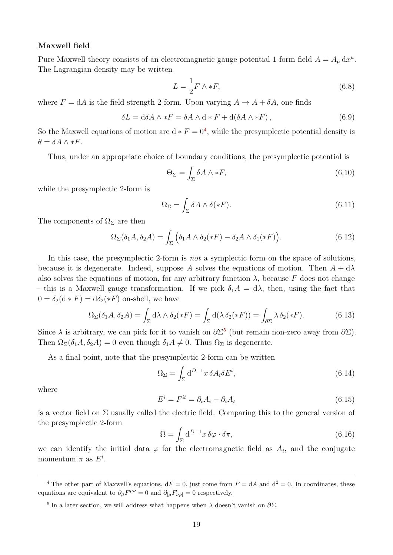#### **Maxwell field**

Pure Maxwell theory consists of an electromagnetic gauge potential 1-form field  $A = A_{\mu} dx^{\mu}$ . The Lagrangian density may be written

$$
L = \frac{1}{2}F \wedge *F,\tag{6.8}
$$

where  $F = dA$  is the field strength 2-form. Upon varying  $A \rightarrow A + \delta A$ , one finds

$$
\delta L = d\delta A \wedge *F = \delta A \wedge d * F + d(\delta A \wedge *F), \qquad (6.9)
$$

So the Maxwell equations of motion are  $d * F = 0<sup>4</sup>$  $d * F = 0<sup>4</sup>$  $d * F = 0<sup>4</sup>$ , while the presymplectic potential density is  $\theta = \delta A \wedge *F$ .

Thus, under an appropriate choice of boundary conditions, the presymplectic potential is

$$
\Theta_{\Sigma} = \int_{\Sigma} \delta A \wedge *F,\tag{6.10}
$$

while the presymplectic 2-form is

$$
\Omega_{\Sigma} = \int_{\Sigma} \delta A \wedge \delta(*F). \tag{6.11}
$$

The components of  $\Omega_{\Sigma}$  are then

$$
\Omega_{\Sigma}(\delta_1 A, \delta_2 A) = \int_{\Sigma} \left( \delta_1 A \wedge \delta_2 (*F) - \delta_2 A \wedge \delta_1 (*F) \right). \tag{6.12}
$$

In this case, the presymplectic 2-form is *not* a symplectic form on the space of solutions, because it is degenerate. Indeed, suppose A solves the equations of motion. Then  $A + d\lambda$ also solves the equations of motion, for any arbitrary function  $\lambda$ , because  $F$  does not change – this is a Maxwell gauge transformation. If we pick  $\delta_1 A = d\lambda$ , then, using the fact that  $0 = \delta_2(\mathrm{d} * F) = \mathrm{d}\delta_2(*F)$  on-shell, we have

$$
\Omega_{\Sigma}(\delta_1 A, \delta_2 A) = \int_{\Sigma} d\lambda \wedge \delta_2(*F) = \int_{\Sigma} d(\lambda \delta_2(*F)) = \int_{\partial \Sigma} \lambda \delta_2(*F). \tag{6.13}
$$

Since  $\lambda$  is arbitrary, we can pick for it to vanish on  $\partial \Sigma^5$  $\partial \Sigma^5$  (but remain non-zero away from  $\partial \Sigma$ ). Then  $\Omega_{\Sigma}(\delta_1 A, \delta_2 A) = 0$  even though  $\delta_1 A \neq 0$ . Thus  $\Omega_{\Sigma}$  is degenerate.

As a final point, note that the presymplectic 2-form can be written

$$
\Omega_{\Sigma} = \int_{\Sigma} d^{D-1}x \, \delta A_i \delta E^i,\tag{6.14}
$$

where

$$
E^i = F^{it} = \partial_t A_i - \partial_i A_t \tag{6.15}
$$

is a vector field on  $\Sigma$  usually called the electric field. Comparing this to the general version of the presymplectic 2-form

$$
\Omega = \int_{\Sigma} d^{D-1}x \,\delta\varphi \cdot \delta\pi,\tag{6.16}
$$

we can identify the initial data  $\varphi$  for the electromagnetic field as  $A_i$ , and the conjugate momentum  $\pi$  as  $E^i$ .

<span id="page-1-0"></span><sup>4</sup> The other part of Maxwell's equations,  $dF = 0$ , just come from  $F = dA$  and  $d^2 = 0$ . In coordinates, these equations are equivalent to  $\partial_{\mu}F^{\mu\nu} = 0$  and  $\partial_{\mu}F_{\nu\rho} = 0$  respectively.

<span id="page-1-1"></span><sup>5</sup> In a later section, we will address what happens when *λ* doesn't vanish on *∂*Σ.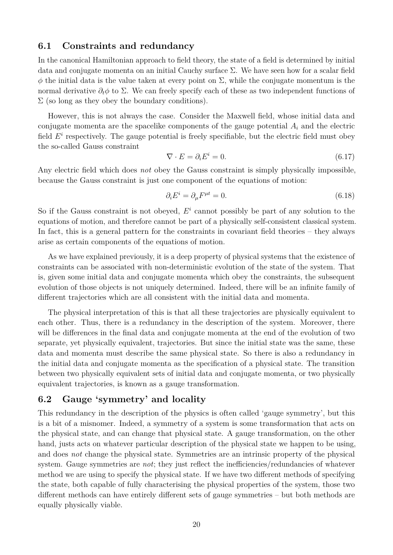### **6.1 Constraints and redundancy**

In the canonical Hamiltonian approach to field theory, the state of a field is determined by initial data and conjugate momenta on an initial Cauchy surface  $\Sigma$ . We have seen how for a scalar field  $φ$  the initial data is the value taken at every point on  $Σ$ , while the conjugate momentum is the normal derivative  $\partial_t \phi$  to  $\Sigma$ . We can freely specify each of these as two independent functions of  $\Sigma$  (so long as they obey the boundary conditions).

However, this is not always the case. Consider the Maxwell field, whose initial data and conjugate momenta are the spacelike components of the gauge potential *A<sup>i</sup>* and the electric field  $E^i$  respectively. The gauge potential is freely specifiable, but the electric field must obey the so-called Gauss constraint

$$
\nabla \cdot E = \partial_i E^i = 0. \tag{6.17}
$$

Any electric field which does *not* obey the Gauss constraint is simply physically impossible, because the Gauss constraint is just one component of the equations of motion:

$$
\partial_i E^i = \partial_\mu F^{\mu t} = 0. \tag{6.18}
$$

So if the Gauss constraint is not obeyed,  $E^i$  cannot possibly be part of any solution to the equations of motion, and therefore cannot be part of a physically self-consistent classical system. In fact, this is a general pattern for the constraints in covariant field theories – they always arise as certain components of the equations of motion.

As we have explained previously, it is a deep property of physical systems that the existence of constraints can be associated with non-deterministic evolution of the state of the system. That is, given some initial data and conjugate momenta which obey the constraints, the subsequent evolution of those objects is not uniquely determined. Indeed, there will be an infinite family of different trajectories which are all consistent with the initial data and momenta.

The physical interpretation of this is that all these trajectories are physically equivalent to each other. Thus, there is a redundancy in the description of the system. Moreover, there will be differences in the final data and conjugate momenta at the end of the evolution of two separate, yet physically equivalent, trajectories. But since the initial state was the same, these data and momenta must describe the same physical state. So there is also a redundancy in the initial data and conjugate momenta as the specification of a physical state. The transition between two physically equivalent sets of initial data and conjugate momenta, or two physically equivalent trajectories, is known as a gauge transformation.

## **6.2 Gauge 'symmetry' and locality**

This redundancy in the description of the physics is often called 'gauge symmetry', but this is a bit of a misnomer. Indeed, a symmetry of a system is some transformation that acts on the physical state, and can change that physical state. A gauge transformation, on the other hand, justs acts on whatever particular description of the physical state we happen to be using, and does *not* change the physical state. Symmetries are an intrinsic property of the physical system. Gauge symmetries are *not*; they just reflect the inefficiencies/redundancies of whatever method we are using to specify the physical state. If we have two different methods of specifying the state, both capable of fully characterising the physical properties of the system, those two different methods can have entirely different sets of gauge symmetries – but both methods are equally physically viable.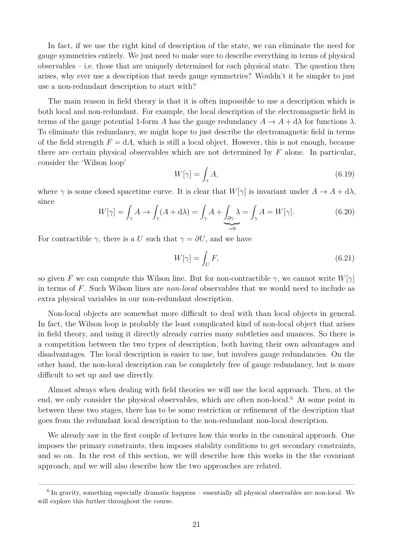In fact, if we use the right kind of description of the state, we can eliminate the need for gauge symmetries entirely. We just need to make sure to describe everything in terms of physical observables – i.e. those that are uniquely determined for each physical state. The question then arises, why ever use a description that needs gauge symmetries? Wouldn't it be simpler to just use a non-redundant description to start with?

The main reason in field theory is that it is often impossible to use a description which is both local and non-redundant. For example, the local description of the electromagnetic field in terms of the gauge potential 1-form *A* has the gauge redundancy  $A \to A + d\lambda$  for functions  $\lambda$ . To eliminate this redundancy, we might hope to just describe the electromagnetic field in terms of the field strength  $F = dA$ , which is still a local object. However, this is not enough, because there are certain physical observables which are not determined by *F* alone. In particular, consider the 'Wilson loop'

$$
W[\gamma] = \int_{\gamma} A,\tag{6.19}
$$

where  $\gamma$  is some closed spacetime curve. It is clear that  $W[\gamma]$  is invariant under  $A \to A + d\lambda$ , since

$$
W[\gamma] = \int_{\gamma} A \to \int_{\gamma} (A + d\lambda) = \int_{\gamma} A + \underbrace{\int_{\partial \gamma} \lambda}_{=0} = \int_{\gamma} A = W[\gamma]. \tag{6.20}
$$

For contractible  $\gamma$ , there is a *U* such that  $\gamma = \partial U$ , and we have

$$
W[\gamma] = \int_U F,\tag{6.21}
$$

so given *F* we can compute this Wilson line. But for non-contractible  $\gamma$ , we cannot write  $W[\gamma]$ in terms of *F*. Such Wilson lines are *non-local* observables that we would need to include as extra physical variables in our non-redundant description.

Non-local objects are somewhat more difficult to deal with than local objects in general. In fact, the Wilson loop is probably the least complicated kind of non-local object that arises in field theory, and using it directly already carries many subtleties and nuances. So there is a competition between the two types of description, both having their own advantages and disadvantages. The local description is easier to use, but involves gauge redundancies. On the other hand, the non-local description can be completely free of gauge redundancy, but is more difficult to set up and use directly.

Almost always when dealing with field theories we will use the local approach. Then, at the end, we only consider the physical observables, which are often non-local.<sup>[6](#page-3-0)</sup> At some point in between these two stages, there has to be some restriction or refinement of the description that goes from the redundant local description to the non-redundant non-local description.

We already saw in the first couple of lectures how this works in the canonical approach. One imposes the primary constraints, then imposes stability conditions to get secondary constraints, and so on. In the rest of this section, we will describe how this works in the the covariant approach, and we will also describe how the two approaches are related.

<span id="page-3-0"></span><sup>&</sup>lt;sup>6</sup> In gravity, something especially dramatic happens – essentially all physical observables are non-local. We will explore this further throughout the course.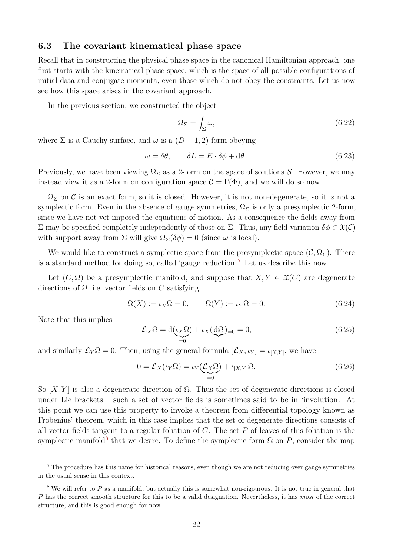### **6.3 The covariant kinematical phase space**

Recall that in constructing the physical phase space in the canonical Hamiltonian approach, one first starts with the kinematical phase space, which is the space of all possible configurations of initial data and conjugate momenta, even those which do not obey the constraints. Let us now see how this space arises in the covariant approach.

In the previous section, we constructed the object

$$
\Omega_{\Sigma} = \int_{\Sigma} \omega,\tag{6.22}
$$

where  $\Sigma$  is a Cauchy surface, and  $\omega$  is a  $(D-1, 2)$ -form obeying

$$
\omega = \delta\theta, \qquad \delta L = E \cdot \delta\phi + d\theta. \tag{6.23}
$$

Previously, we have been viewing  $\Omega_{\Sigma}$  as a 2-form on the space of solutions S. However, we may instead view it as a 2-form on configuration space  $\mathcal{C} = \Gamma(\Phi)$ , and we will do so now.

 $\Omega_{\Sigma}$  on C is an exact form, so it is closed. However, it is not non-degenerate, so it is not a symplectic form. Even in the absence of gauge symmetries,  $\Omega_{\Sigma}$  is only a presymplectic 2-form, since we have not yet imposed the equations of motion. As a consequence the fields away from Σ may be specified completely independently of those on Σ. Thus, any field variation  $\delta \phi \in \mathfrak{X}(\mathcal{C})$ with support away from  $\Sigma$  will give  $\Omega_{\Sigma}(\delta \phi) = 0$  (since  $\omega$  is local).

We would like to construct a symplectic space from the presymplectic space  $(C, \Omega_{\Sigma})$ . There is a standard method for doing so, called 'gauge reduction'.[7](#page-4-0) Let us describe this now.

Let  $(C, \Omega)$  be a presymplectic manifold, and suppose that  $X, Y \in \mathfrak{X}(C)$  are degenerate directions of Ω, i.e. vector fields on *C* satisfying

$$
\Omega(X) := \iota_X \Omega = 0, \qquad \Omega(Y) := \iota_Y \Omega = 0. \tag{6.24}
$$

Note that this implies

$$
\mathcal{L}_X \Omega = \mathrm{d}(\underbrace{\iota_X \Omega}_{=0}) + \iota_X(\underbrace{\mathrm{d}\Omega}_{=0}) = 0,\tag{6.25}
$$

and similarly  $\mathcal{L}_Y \Omega = 0$ . Then, using the general formula  $[\mathcal{L}_X, \iota_Y] = \iota_{[X,Y]}$ , we have

$$
0 = \mathcal{L}_X(\iota_Y \Omega) = \iota_Y(\underbrace{\mathcal{L}_X \Omega}_{=0}) + \iota_{[X,Y]} \Omega.
$$
\n(6.26)

So  $[X, Y]$  is also a degenerate direction of  $\Omega$ . Thus the set of degenerate directions is closed under Lie brackets – such a set of vector fields is sometimes said to be in 'involution'. At this point we can use this property to invoke a theorem from differential topology known as Frobenius' theorem, which in this case implies that the set of degenerate directions consists of all vector fields tangent to a regular foliation of *C*. The set *P* of leaves of this foliation is the symplectic manifold<sup>[8](#page-4-1)</sup> that we desire. To define the symplectic form  $\overline{\Omega}$  on P, consider the map

<span id="page-4-0"></span><sup>&</sup>lt;sup>7</sup> The procedure has this name for historical reasons, even though we are not reducing over gauge symmetries in the usual sense in this context.

<span id="page-4-1"></span><sup>&</sup>lt;sup>8</sup> We will refer to P as a manifold, but actually this is somewhat non-rigourous. It is not true in general that *P* has the correct smooth structure for this to be a valid designation. Nevertheless, it has *most* of the correct structure, and this is good enough for now.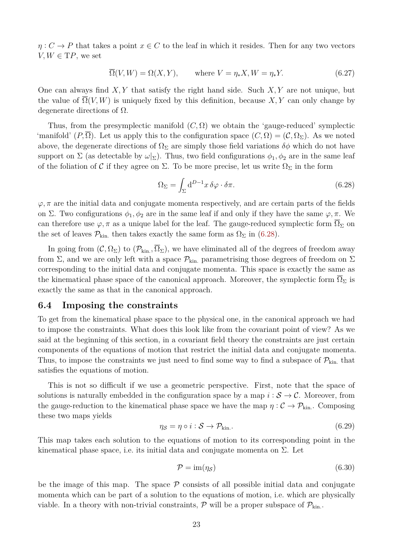$\eta: C \to P$  that takes a point  $x \in C$  to the leaf in which it resides. Then for any two vectors  $V, W \in \mathrm{T}P$ , we set

$$
\overline{\Omega}(V, W) = \Omega(X, Y), \qquad \text{where } V = \eta_* X, W = \eta_* Y. \tag{6.27}
$$

One can always find *X, Y* that satisfy the right hand side. Such *X, Y* are not unique, but the value of  $\overline{\Omega}(V, W)$  is uniquely fixed by this definition, because X, Y can only change by degenerate directions of  $\Omega$ .

Thus, from the presymplectic manifold  $(C, \Omega)$  we obtain the 'gauge-reduced' symplectic 'manifold'  $(P, \overline{\Omega})$ . Let us apply this to the configuration space  $(C, \Omega) = (C, \Omega_{\Sigma})$ . As we noted above, the degenerate directions of  $\Omega_{\Sigma}$  are simply those field variations  $\delta\phi$  which do not have support on  $\Sigma$  (as detectable by  $\omega|_{\Sigma}$ ). Thus, two field configurations  $\phi_1, \phi_2$  are in the same leaf of the foliation of C if they agree on  $\Sigma$ . To be more precise, let us write  $\Omega_{\Sigma}$  in the form

<span id="page-5-0"></span>
$$
\Omega_{\Sigma} = \int_{\Sigma} d^{D-1}x \,\delta\varphi \cdot \delta\pi.
$$
\n(6.28)

 $\varphi, \pi$  are the initial data and conjugate momenta respectively, and are certain parts of the fields on Σ. Two configurations  $\phi_1, \phi_2$  are in the same leaf if and only if they have the same  $\varphi, \pi$ . We can therefore use  $\varphi$ ,  $\pi$  as a unique label for the leaf. The gauge-reduced symplectic form  $\Omega_{\Sigma}$  on the set of leaves  $\mathcal{P}_{\text{kin}}$ , then takes exactly the same form as  $\Omega_{\Sigma}$  in [\(6.28\)](#page-5-0).

In going from  $(C, \Omega_{\Sigma})$  to  $(\mathcal{P}_{kin}, \overline{\Omega}_{\Sigma})$ , we have eliminated all of the degrees of freedom away from  $\Sigma$ , and we are only left with a space  $\mathcal{P}_{kin}$  parametrising those degrees of freedom on  $\Sigma$ corresponding to the initial data and conjugate momenta. This space is exactly the same as the kinematical phase space of the canonical approach. Moreover, the symplectic form  $\overline{\Omega}_{\Sigma}$  is exactly the same as that in the canonical approach.

#### **6.4 Imposing the constraints**

To get from the kinematical phase space to the physical one, in the canonical approach we had to impose the constraints. What does this look like from the covariant point of view? As we said at the beginning of this section, in a covariant field theory the constraints are just certain components of the equations of motion that restrict the initial data and conjugate momenta. Thus, to impose the constraints we just need to find some way to find a subspace of  $\mathcal{P}_{kin}$ , that satisfies the equations of motion.

This is not so difficult if we use a geometric perspective. First, note that the space of solutions is naturally embedded in the configuration space by a map  $i : \mathcal{S} \to \mathcal{C}$ . Moreover, from the gauge-reduction to the kinematical phase space we have the map  $\eta : C \to \mathcal{P}_{kin}$ . Composing these two maps yields

$$
\eta_{\mathcal{S}} = \eta \circ i : \mathcal{S} \to \mathcal{P}_{\text{kin.}}.\tag{6.29}
$$

This map takes each solution to the equations of motion to its corresponding point in the kinematical phase space, i.e. its initial data and conjugate momenta on  $\Sigma$ . Let

$$
\mathcal{P} = \text{im}(\eta_{\mathcal{S}}) \tag{6.30}
$$

be the image of this map. The space  $P$  consists of all possible initial data and conjugate momenta which can be part of a solution to the equations of motion, i.e. which are physically viable. In a theory with non-trivial constraints,  $\mathcal{P}$  will be a proper subspace of  $\mathcal{P}_{kin}$ .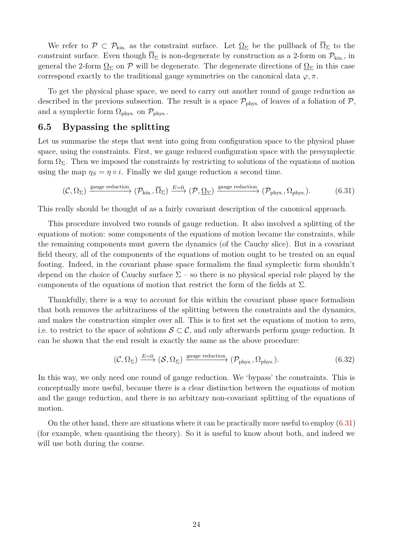We refer to  $\mathcal{P} \subset \mathcal{P}_{kin}$  as the constraint surface. Let  $\Omega_{\Sigma}$  be the pullback of  $\overline{\Omega}_{\Sigma}$  to the constraint surface. Even though  $\overline{\Omega}_{\Sigma}$  is non-degenerate by construction as a 2-form on  $\mathcal{P}_{\text{kin}}$ , in general the 2-form  $\Omega_{\Sigma}$  on P will be degenerate. The degenerate directions of  $\Omega_{\Sigma}$  in this case correspond exactly to the traditional gauge symmetries on the canonical data  $\varphi, \pi$ .

To get the physical phase space, we need to carry out another round of gauge reduction as described in the previous subsection. The result is a space  $\mathcal{P}_{\text{phys.}}$  of leaves of a foliation of  $\mathcal{P},$ and a symplectic form  $\Omega_{\text{phys.}}$  on  $\mathcal{P}_{\text{phys.}}$ .

### **6.5 Bypassing the splitting**

Let us summarise the steps that went into going from configuration space to the physical phase space, using the constraints. First, we gauge reduced configuration space with the presymplectic form  $\Omega_{\Sigma}$ . Then we imposed the constraints by restricting to solutions of the equations of motion using the map  $\eta_S = \eta \circ i$ . Finally we did gauge reduction a second time.

<span id="page-6-0"></span>
$$
(\mathcal{C}, \Omega_{\Sigma}) \xrightarrow{\text{gauge reduction}} (\mathcal{P}_{\text{kin.}}, \overline{\Omega}_{\Sigma}) \xrightarrow{E=0} (\mathcal{P}, \underline{\Omega}_{\Sigma}) \xrightarrow{\text{gauge reduction}} (\mathcal{P}_{\text{phys.}}, \Omega_{\text{phys.}}). \tag{6.31}
$$

This really should be thought of as a fairly covariant description of the canonical approach.

This procedure involved two rounds of gauge reduction. It also involved a splitting of the equations of motion: some components of the equations of motion became the constraints, while the remaining components must govern the dynamics (of the Cauchy slice). But in a covariant field theory, all of the components of the equations of motion ought to be treated on an equal footing. Indeed, in the covariant phase space formalism the final symplectic form shouldn't depend on the choice of Cauchy surface  $\Sigma$  – so there is no physical special role played by the components of the equations of motion that restrict the form of the fields at  $\Sigma$ .

Thankfully, there is a way to account for this within the covariant phase space formalism that both removes the arbitrariness of the splitting between the constraints and the dynamics, and makes the construction simpler over all. This is to first set the equations of motion to zero, i.e. to restrict to the space of solutions  $S \subset \mathcal{C}$ , and only afterwards perform gauge reduction. It can be shown that the end result is exactly the same as the above procedure:

$$
(\mathcal{C}, \Omega_{\Sigma}) \xrightarrow{E=0} (\mathcal{S}, \Omega_{\Sigma}) \xrightarrow{\text{gauge reduction}} (\mathcal{P}_{\text{phys.}}, \Omega_{\text{phys.}}). \tag{6.32}
$$

In this way, we only need one round of gauge reduction. We 'bypass' the constraints. This is conceptually more useful, because there is a clear distinction between the equations of motion and the gauge reduction, and there is no arbitrary non-covariant splitting of the equations of motion.

On the other hand, there are situations where it can be practically more useful to employ [\(6.31\)](#page-6-0) (for example, when quantising the theory). So it is useful to know about both, and indeed we will use both during the course.